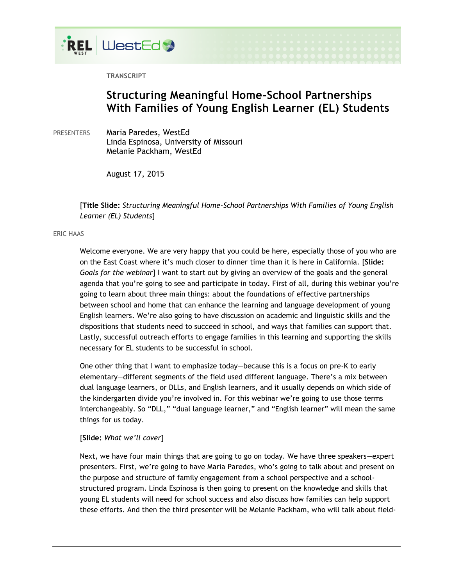

**TRANSCRIPT**

# **Structuring Meaningful Home-School Partnerships With Families of Young English Learner (EL) Students**

PRESENTERS Maria Paredes, WestEd Linda Espinosa, University of Missouri Melanie Packham, WestEd

August 17, 2015

[**Title Slide:** *Structuring Meaningful Home-School Partnerships With Families of Young English Learner (EL) Students*]

# ERIC HAAS

Welcome everyone. We are very happy that you could be here, especially those of you who are on the East Coast where it's much closer to dinner time than it is here in California. [**Slide:**  *Goals for the webinar*] I want to start out by giving an overview of the goals and the general agenda that you're going to see and participate in today. First of all, during this webinar you're going to learn about three main things: about the foundations of effective partnerships between school and home that can enhance the learning and language development of young English learners. We're also going to have discussion on academic and linguistic skills and the dispositions that students need to succeed in school, and ways that families can support that. Lastly, successful outreach efforts to engage families in this learning and supporting the skills necessary for EL students to be successful in school.

One other thing that I want to emphasize today—because this is a focus on pre-K to early elementary—different segments of the field used different language. There's a mix between dual language learners, or DLLs, and English learners, and it usually depends on which side of the kindergarten divide you're involved in. For this webinar we're going to use those terms interchangeably. So "DLL," "dual language learner," and "English learner" will mean the same things for us today.

# [**Slide:** *What we'll cover*]

Next, we have four main things that are going to go on today. We have three speakers—expert presenters. First, we're going to have Maria Paredes, who's going to talk about and present on the purpose and structure of family engagement from a school perspective and a schoolstructured program. Linda Espinosa is then going to present on the knowledge and skills that young EL students will need for school success and also discuss how families can help support these efforts. And then the third presenter will be Melanie Packham, who will talk about field-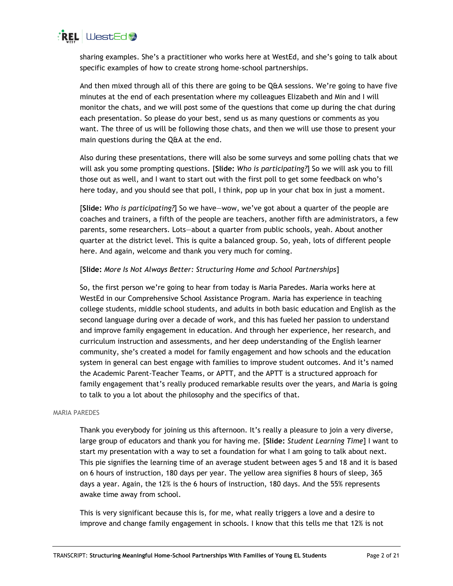

sharing examples. She's a practitioner who works here at WestEd, and she's going to talk about specific examples of how to create strong home-school partnerships.

And then mixed through all of this there are going to be Q&A sessions. We're going to have five minutes at the end of each presentation where my colleagues Elizabeth and Min and I will monitor the chats, and we will post some of the questions that come up during the chat during each presentation. So please do your best, send us as many questions or comments as you want. The three of us will be following those chats, and then we will use those to present your main questions during the Q&A at the end.

Also during these presentations, there will also be some surveys and some polling chats that we will ask you some prompting questions. [**Slide:** *Who is participating?*] So we will ask you to fill those out as well, and I want to start out with the first poll to get some feedback on who's here today, and you should see that poll, I think, pop up in your chat box in just a moment.

[**Slide:** *Who is participating?*] So we have—wow, we've got about a quarter of the people are coaches and trainers, a fifth of the people are teachers, another fifth are administrators, a few parents, some researchers. Lots—about a quarter from public schools, yeah. About another quarter at the district level. This is quite a balanced group. So, yeah, lots of different people here. And again, welcome and thank you very much for coming.

# [**Slide:** *More Is Not Always Better: Structuring Home and School Partnerships*]

So, the first person we're going to hear from today is Maria Paredes. Maria works here at WestEd in our Comprehensive School Assistance Program. Maria has experience in teaching college students, middle school students, and adults in both basic education and English as the second language during over a decade of work, and this has fueled her passion to understand and improve family engagement in education. And through her experience, her research, and curriculum instruction and assessments, and her deep understanding of the English learner community, she's created a model for family engagement and how schools and the education system in general can best engage with families to improve student outcomes. And it's named the Academic Parent-Teacher Teams, or APTT, and the APTT is a structured approach for family engagement that's really produced remarkable results over the years, and Maria is going to talk to you a lot about the philosophy and the specifics of that.

#### MARIA PAREDES

Thank you everybody for joining us this afternoon. It's really a pleasure to join a very diverse, large group of educators and thank you for having me. [**Slide:** *Student Learning Time*] I want to start my presentation with a way to set a foundation for what I am going to talk about next. This pie signifies the learning time of an average student between ages 5 and 18 and it is based on 6 hours of instruction, 180 days per year. The yellow area signifies 8 hours of sleep, 365 days a year. Again, the 12% is the 6 hours of instruction, 180 days. And the 55% represents awake time away from school.

This is very significant because this is, for me, what really triggers a love and a desire to improve and change family engagement in schools. I know that this tells me that 12% is not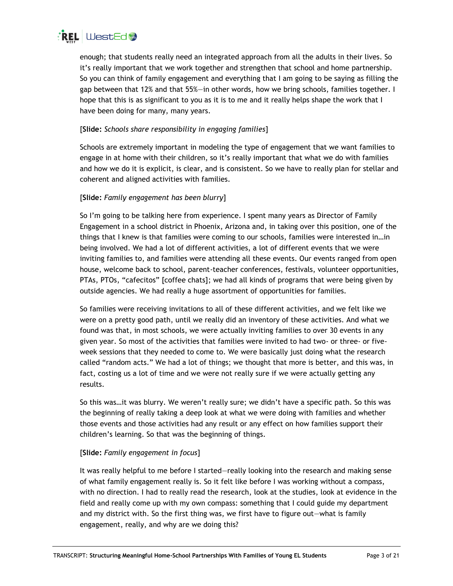

enough; that students really need an integrated approach from all the adults in their lives. So it's really important that we work together and strengthen that school and home partnership. So you can think of family engagement and everything that I am going to be saying as filling the gap between that 12% and that 55%—in other words, how we bring schools, families together. I hope that this is as significant to you as it is to me and it really helps shape the work that I have been doing for many, many years.

# [**Slide:** *Schools share responsibility in engaging families*]

Schools are extremely important in modeling the type of engagement that we want families to engage in at home with their children, so it's really important that what we do with families and how we do it is explicit, is clear, and is consistent. So we have to really plan for stellar and coherent and aligned activities with families.

# [**Slide:** *Family engagement has been blurry*]

So I'm going to be talking here from experience. I spent many years as Director of Family Engagement in a school district in Phoenix, Arizona and, in taking over this position, one of the things that I knew is that families were coming to our schools, families were interested in…in being involved. We had a lot of different activities, a lot of different events that we were inviting families to, and families were attending all these events. Our events ranged from open house, welcome back to school, parent-teacher conferences, festivals, volunteer opportunities, PTAs, PTOs, "cafecitos" [coffee chats]; we had all kinds of programs that were being given by outside agencies. We had really a huge assortment of opportunities for families.

So families were receiving invitations to all of these different activities, and we felt like we were on a pretty good path, until we really did an inventory of these activities. And what we found was that, in most schools, we were actually inviting families to over 30 events in any given year. So most of the activities that families were invited to had two- or three- or fiveweek sessions that they needed to come to. We were basically just doing what the research called "random acts." We had a lot of things; we thought that more is better, and this was, in fact, costing us a lot of time and we were not really sure if we were actually getting any results.

So this was…it was blurry. We weren't really sure; we didn't have a specific path. So this was the beginning of really taking a deep look at what we were doing with families and whether those events and those activities had any result or any effect on how families support their children's learning. So that was the beginning of things.

# [**Slide:** *Family engagement in focus*]

It was really helpful to me before I started—really looking into the research and making sense of what family engagement really is. So it felt like before I was working without a compass, with no direction. I had to really read the research, look at the studies, look at evidence in the field and really come up with my own compass: something that I could guide my department and my district with. So the first thing was, we first have to figure out—what is family engagement, really, and why are we doing this?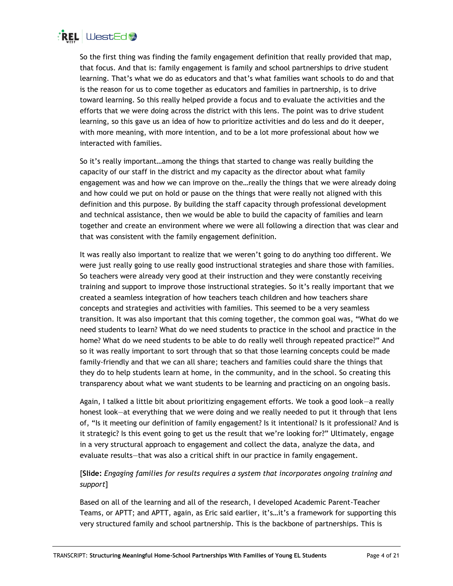

So the first thing was finding the family engagement definition that really provided that map, that focus. And that is: family engagement is family and school partnerships to drive student learning. That's what we do as educators and that's what families want schools to do and that is the reason for us to come together as educators and families in partnership, is to drive toward learning. So this really helped provide a focus and to evaluate the activities and the efforts that we were doing across the district with this lens. The point was to drive student learning, so this gave us an idea of how to prioritize activities and do less and do it deeper, with more meaning, with more intention, and to be a lot more professional about how we interacted with families.

So it's really important…among the things that started to change was really building the capacity of our staff in the district and my capacity as the director about what family engagement was and how we can improve on the…really the things that we were already doing and how could we put on hold or pause on the things that were really not aligned with this definition and this purpose. By building the staff capacity through professional development and technical assistance, then we would be able to build the capacity of families and learn together and create an environment where we were all following a direction that was clear and that was consistent with the family engagement definition.

It was really also important to realize that we weren't going to do anything too different. We were just really going to use really good instructional strategies and share those with families. So teachers were already very good at their instruction and they were constantly receiving training and support to improve those instructional strategies. So it's really important that we created a seamless integration of how teachers teach children and how teachers share concepts and strategies and activities with families. This seemed to be a very seamless transition. It was also important that this coming together, the common goal was, "What do we need students to learn? What do we need students to practice in the school and practice in the home? What do we need students to be able to do really well through repeated practice?" And so it was really important to sort through that so that those learning concepts could be made family-friendly and that we can all share; teachers and families could share the things that they do to help students learn at home, in the community, and in the school. So creating this transparency about what we want students to be learning and practicing on an ongoing basis.

Again, I talked a little bit about prioritizing engagement efforts. We took a good look—a really honest look—at everything that we were doing and we really needed to put it through that lens of, "Is it meeting our definition of family engagement? Is it intentional? Is it professional? And is it strategic? Is this event going to get us the result that we're looking for?" Ultimately, engage in a very structural approach to engagement and collect the data, analyze the data, and evaluate results—that was also a critical shift in our practice in family engagement.

# [**Slide:** *Engaging families for results requires a system that incorporates ongoing training and support*]

Based on all of the learning and all of the research, I developed Academic Parent-Teacher Teams, or APTT; and APTT, again, as Eric said earlier, it's…it's a framework for supporting this very structured family and school partnership. This is the backbone of partnerships. This is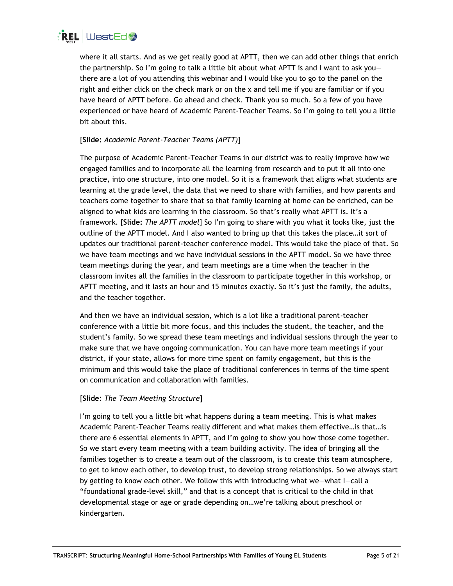

where it all starts. And as we get really good at APTT, then we can add other things that enrich the partnership. So I'm going to talk a little bit about what APTT is and I want to ask you there are a lot of you attending this webinar and I would like you to go to the panel on the right and either click on the check mark or on the x and tell me if you are familiar or if you have heard of APTT before. Go ahead and check. Thank you so much. So a few of you have experienced or have heard of Academic Parent-Teacher Teams. So I'm going to tell you a little bit about this.

# [**Slide:** *Academic Parent-Teacher Teams (APTT)*]

The purpose of Academic Parent-Teacher Teams in our district was to really improve how we engaged families and to incorporate all the learning from research and to put it all into one practice, into one structure, into one model. So it is a framework that aligns what students are learning at the grade level, the data that we need to share with families, and how parents and teachers come together to share that so that family learning at home can be enriched, can be aligned to what kids are learning in the classroom. So that's really what APTT is. It's a framework. [**Slide:** *The APTT model*] So I'm going to share with you what it looks like, just the outline of the APTT model. And I also wanted to bring up that this takes the place…it sort of updates our traditional parent-teacher conference model. This would take the place of that. So we have team meetings and we have individual sessions in the APTT model. So we have three team meetings during the year, and team meetings are a time when the teacher in the classroom invites all the families in the classroom to participate together in this workshop, or APTT meeting, and it lasts an hour and 15 minutes exactly. So it's just the family, the adults, and the teacher together.

And then we have an individual session, which is a lot like a traditional parent-teacher conference with a little bit more focus, and this includes the student, the teacher, and the student's family. So we spread these team meetings and individual sessions through the year to make sure that we have ongoing communication. You can have more team meetings if your district, if your state, allows for more time spent on family engagement, but this is the minimum and this would take the place of traditional conferences in terms of the time spent on communication and collaboration with families.

# [**Slide:** *The Team Meeting Structure*]

I'm going to tell you a little bit what happens during a team meeting. This is what makes Academic Parent-Teacher Teams really different and what makes them effective…is that…is there are 6 essential elements in APTT, and I'm going to show you how those come together. So we start every team meeting with a team building activity. The idea of bringing all the families together is to create a team out of the classroom, is to create this team atmosphere, to get to know each other, to develop trust, to develop strong relationships. So we always start by getting to know each other. We follow this with introducing what we—what I—call a "foundational grade-level skill," and that is a concept that is critical to the child in that developmental stage or age or grade depending on…we're talking about preschool or kindergarten.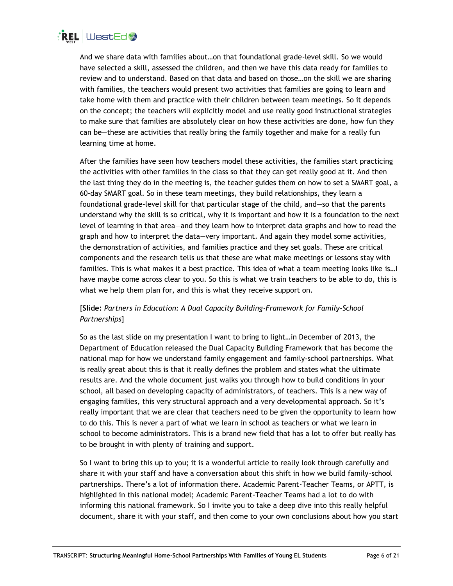

And we share data with families about…on that foundational grade-level skill. So we would have selected a skill, assessed the children, and then we have this data ready for families to review and to understand. Based on that data and based on those…on the skill we are sharing with families, the teachers would present two activities that families are going to learn and take home with them and practice with their children between team meetings. So it depends on the concept; the teachers will explicitly model and use really good instructional strategies to make sure that families are absolutely clear on how these activities are done, how fun they can be—these are activities that really bring the family together and make for a really fun learning time at home.

After the families have seen how teachers model these activities, the families start practicing the activities with other families in the class so that they can get really good at it. And then the last thing they do in the meeting is, the teacher guides them on how to set a SMART goal, a 60-day SMART goal. So in these team meetings, they build relationships, they learn a foundational grade-level skill for that particular stage of the child, and—so that the parents understand why the skill is so critical, why it is important and how it is a foundation to the next level of learning in that area—and they learn how to interpret data graphs and how to read the graph and how to interpret the data—very important. And again they model some activities, the demonstration of activities, and families practice and they set goals. These are critical components and the research tells us that these are what make meetings or lessons stay with families. This is what makes it a best practice. This idea of what a team meeting looks like is…I have maybe come across clear to you. So this is what we train teachers to be able to do, this is what we help them plan for, and this is what they receive support on.

# [**Slide:** *Partners in Education: A Dual Capacity Building-Framework for Family-School Partnerships*]

So as the last slide on my presentation I want to bring to light…in December of 2013, the Department of Education released the Dual Capacity Building Framework that has become the national map for how we understand family engagement and family-school partnerships. What is really great about this is that it really defines the problem and states what the ultimate results are. And the whole document just walks you through how to build conditions in your school, all based on developing capacity of administrators, of teachers. This is a new way of engaging families, this very structural approach and a very developmental approach. So it's really important that we are clear that teachers need to be given the opportunity to learn how to do this. This is never a part of what we learn in school as teachers or what we learn in school to become administrators. This is a brand new field that has a lot to offer but really has to be brought in with plenty of training and support.

So I want to bring this up to you; it is a wonderful article to really look through carefully and share it with your staff and have a conversation about this shift in how we build family-school partnerships. There's a lot of information there. Academic Parent-Teacher Teams, or APTT, is highlighted in this national model; Academic Parent-Teacher Teams had a lot to do with informing this national framework. So I invite you to take a deep dive into this really helpful document, share it with your staff, and then come to your own conclusions about how you start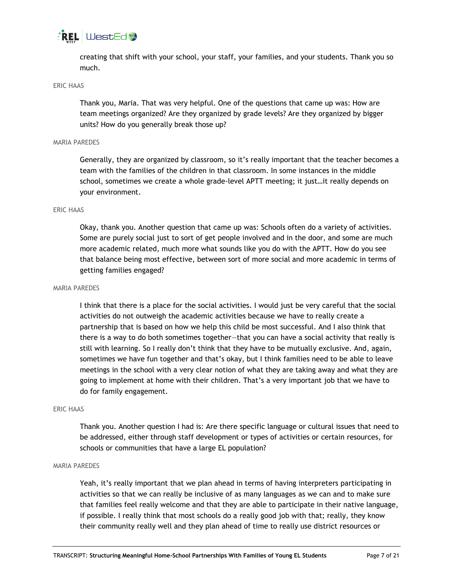

creating that shift with your school, your staff, your families, and your students. Thank you so much.

## ERIC HAAS

Thank you, Maria. That was very helpful. One of the questions that came up was: How are team meetings organized? Are they organized by grade levels? Are they organized by bigger units? How do you generally break those up?

#### MARIA PAREDES

Generally, they are organized by classroom, so it's really important that the teacher becomes a team with the families of the children in that classroom. In some instances in the middle school, sometimes we create a whole grade-level APTT meeting; it just…it really depends on your environment.

#### ERIC HAAS

Okay, thank you. Another question that came up was: Schools often do a variety of activities. Some are purely social just to sort of get people involved and in the door, and some are much more academic related, much more what sounds like you do with the APTT. How do you see that balance being most effective, between sort of more social and more academic in terms of getting families engaged?

#### MARIA PAREDES

I think that there is a place for the social activities. I would just be very careful that the social activities do not outweigh the academic activities because we have to really create a partnership that is based on how we help this child be most successful. And I also think that there is a way to do both sometimes together—that you can have a social activity that really is still with learning. So I really don't think that they have to be mutually exclusive. And, again, sometimes we have fun together and that's okay, but I think families need to be able to leave meetings in the school with a very clear notion of what they are taking away and what they are going to implement at home with their children. That's a very important job that we have to do for family engagement.

#### ERIC HAAS

Thank you. Another question I had is: Are there specific language or cultural issues that need to be addressed, either through staff development or types of activities or certain resources, for schools or communities that have a large EL population?

#### MARIA PAREDES

Yeah, it's really important that we plan ahead in terms of having interpreters participating in activities so that we can really be inclusive of as many languages as we can and to make sure that families feel really welcome and that they are able to participate in their native language, if possible. I really think that most schools do a really good job with that; really, they know their community really well and they plan ahead of time to really use district resources or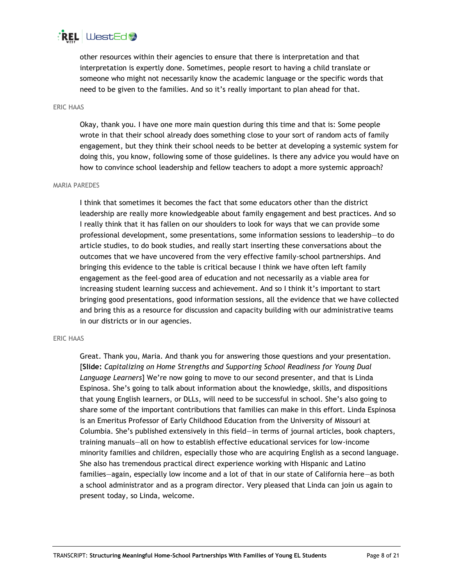

other resources within their agencies to ensure that there is interpretation and that interpretation is expertly done. Sometimes, people resort to having a child translate or someone who might not necessarily know the academic language or the specific words that need to be given to the families. And so it's really important to plan ahead for that.

#### ERIC HAAS

Okay, thank you. I have one more main question during this time and that is: Some people wrote in that their school already does something close to your sort of random acts of family engagement, but they think their school needs to be better at developing a systemic system for doing this, you know, following some of those guidelines. Is there any advice you would have on how to convince school leadership and fellow teachers to adopt a more systemic approach?

#### MARIA PAREDES

I think that sometimes it becomes the fact that some educators other than the district leadership are really more knowledgeable about family engagement and best practices. And so I really think that it has fallen on our shoulders to look for ways that we can provide some professional development, some presentations, some information sessions to leadership—to do article studies, to do book studies, and really start inserting these conversations about the outcomes that we have uncovered from the very effective family-school partnerships. And bringing this evidence to the table is critical because I think we have often left family engagement as the feel-good area of education and not necessarily as a viable area for increasing student learning success and achievement. And so I think it's important to start bringing good presentations, good information sessions, all the evidence that we have collected and bring this as a resource for discussion and capacity building with our administrative teams in our districts or in our agencies.

#### ERIC HAAS

Great. Thank you, Maria. And thank you for answering those questions and your presentation. [**Slide:** *Capitalizing on Home Strengths and Supporting School Readiness for Young Dual Language Learners*] We're now going to move to our second presenter, and that is Linda Espinosa. She's going to talk about information about the knowledge, skills, and dispositions that young English learners, or DLLs, will need to be successful in school. She's also going to share some of the important contributions that families can make in this effort. Linda Espinosa is an Emeritus Professor of Early Childhood Education from the University of Missouri at Columbia. She's published extensively in this field—in terms of journal articles, book chapters, training manuals—all on how to establish effective educational services for low-income minority families and children, especially those who are acquiring English as a second language. She also has tremendous practical direct experience working with Hispanic and Latino families—again, especially low income and a lot of that in our state of California here—as both a school administrator and as a program director. Very pleased that Linda can join us again to present today, so Linda, welcome.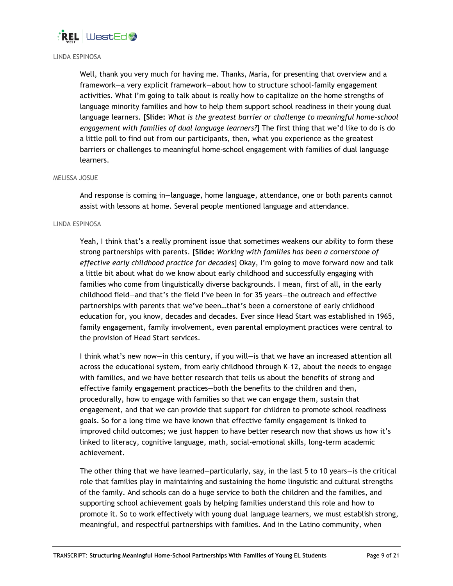

### LINDA ESPINOSA

Well, thank you very much for having me. Thanks, Maria, for presenting that overview and a framework—a very explicit framework—about how to structure school-family engagement activities. What I'm going to talk about is really how to capitalize on the home strengths of language minority families and how to help them support school readiness in their young dual language learners. [**Slide:** *What is the greatest barrier or challenge to meaningful home-school engagement with families of dual language learners?*] The first thing that we'd like to do is do a little poll to find out from our participants, then, what you experience as the greatest barriers or challenges to meaningful home-school engagement with families of dual language learners.

#### MELISSA JOSUE

And response is coming in—language, home language, attendance, one or both parents cannot assist with lessons at home. Several people mentioned language and attendance.

# LINDA ESPINOSA

Yeah, I think that's a really prominent issue that sometimes weakens our ability to form these strong partnerships with parents. [**Slide:** *Working with families has been a cornerstone of effective early childhood practice for decades*] Okay, I'm going to move forward now and talk a little bit about what do we know about early childhood and successfully engaging with families who come from linguistically diverse backgrounds. I mean, first of all, in the early childhood field—and that's the field I've been in for 35 years—the outreach and effective partnerships with parents that we've been…that's been a cornerstone of early childhood education for, you know, decades and decades. Ever since Head Start was established in 1965, family engagement, family involvement, even parental employment practices were central to the provision of Head Start services.

I think what's new now—in this century, if you will—is that we have an increased attention all across the educational system, from early childhood through K–12, about the needs to engage with families, and we have better research that tells us about the benefits of strong and effective family engagement practices—both the benefits to the children and then, procedurally, how to engage with families so that we can engage them, sustain that engagement, and that we can provide that support for children to promote school readiness goals. So for a long time we have known that effective family engagement is linked to improved child outcomes; we just happen to have better research now that shows us how it's linked to literacy, cognitive language, math, social-emotional skills, long-term academic achievement.

The other thing that we have learned—particularly, say, in the last 5 to 10 years—is the critical role that families play in maintaining and sustaining the home linguistic and cultural strengths of the family. And schools can do a huge service to both the children and the families, and supporting school achievement goals by helping families understand this role and how to promote it. So to work effectively with young dual language learners, we must establish strong, meaningful, and respectful partnerships with families. And in the Latino community, when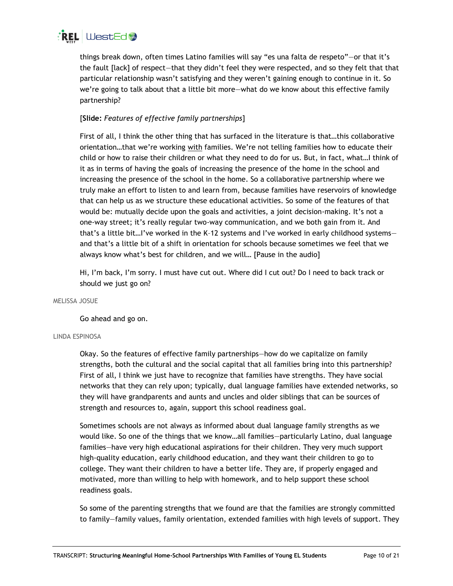

things break down, often times Latino families will say "es una falta de respeto"—or that it's the fault [lack] of respect—that they didn't feel they were respected, and so they felt that that particular relationship wasn't satisfying and they weren't gaining enough to continue in it. So we're going to talk about that a little bit more—what do we know about this effective family partnership?

# [**Slide:** *Features of effective family partnerships*]

First of all, I think the other thing that has surfaced in the literature is that…this collaborative orientation…that we're working with families. We're not telling families how to educate their child or how to raise their children or what they need to do for us. But, in fact, what…I think of it as in terms of having the goals of increasing the presence of the home in the school and increasing the presence of the school in the home. So a collaborative partnership where we truly make an effort to listen to and learn from, because families have reservoirs of knowledge that can help us as we structure these educational activities. So some of the features of that would be: mutually decide upon the goals and activities, a joint decision-making. It's not a one-way street; it's really regular two-way communication, and we both gain from it. And that's a little bit…I've worked in the K–12 systems and I've worked in early childhood systems and that's a little bit of a shift in orientation for schools because sometimes we feel that we always know what's best for children, and we will… [Pause in the audio]

Hi, I'm back, I'm sorry. I must have cut out. Where did I cut out? Do I need to back track or should we just go on?

# MELISSA JOSUE

Go ahead and go on.

# LINDA ESPINOSA

Okay. So the features of effective family partnerships—how do we capitalize on family strengths, both the cultural and the social capital that all families bring into this partnership? First of all, I think we just have to recognize that families have strengths. They have social networks that they can rely upon; typically, dual language families have extended networks, so they will have grandparents and aunts and uncles and older siblings that can be sources of strength and resources to, again, support this school readiness goal.

Sometimes schools are not always as informed about dual language family strengths as we would like. So one of the things that we know…all families—particularly Latino, dual language families—have very high educational aspirations for their children. They very much support high-quality education, early childhood education, and they want their children to go to college. They want their children to have a better life. They are, if properly engaged and motivated, more than willing to help with homework, and to help support these school readiness goals.

So some of the parenting strengths that we found are that the families are strongly committed to family—family values, family orientation, extended families with high levels of support. They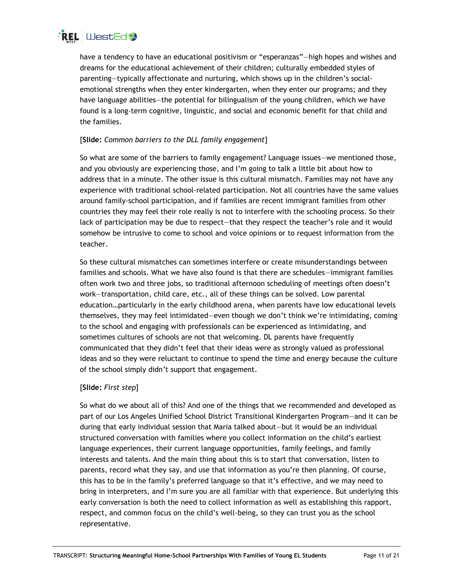

have a tendency to have an educational positivism or "esperanzas"—high hopes and wishes and dreams for the educational achievement of their children; culturally embedded styles of parenting—typically affectionate and nurturing, which shows up in the children's socialemotional strengths when they enter kindergarten, when they enter our programs; and they have language abilities—the potential for bilingualism of the young children, which we have found is a long-term cognitive, linguistic, and social and economic benefit for that child and the families.

# [**Slide:** *Common barriers to the DLL family engagement*]

So what are some of the barriers to family engagement? Language issues—we mentioned those, and you obviously are experiencing those, and I'm going to talk a little bit about how to address that in a minute. The other issue is this cultural mismatch. Families may not have any experience with traditional school-related participation. Not all countries have the same values around family-school participation, and if families are recent immigrant families from other countries they may feel their role really is not to interfere with the schooling process. So their lack of participation may be due to respect—that they respect the teacher's role and it would somehow be intrusive to come to school and voice opinions or to request information from the teacher.

So these cultural mismatches can sometimes interfere or create misunderstandings between families and schools. What we have also found is that there are schedules—immigrant families often work two and three jobs, so traditional afternoon scheduling of meetings often doesn't work—transportation, child care, etc., all of these things can be solved. Low parental education…particularly in the early childhood arena, when parents have low educational levels themselves, they may feel intimidated—even though we don't think we're intimidating, coming to the school and engaging with professionals can be experienced as intimidating, and sometimes cultures of schools are not that welcoming. DL parents have frequently communicated that they didn't feel that their ideas were as strongly valued as professional ideas and so they were reluctant to continue to spend the time and energy because the culture of the school simply didn't support that engagement.

# [**Slide:** *First step*]

So what do we about all of this? And one of the things that we recommended and developed as part of our Los Angeles Unified School District Transitional Kindergarten Program—and it can be during that early individual session that Maria talked about—but it would be an individual structured conversation with families where you collect information on the child's earliest language experiences, their current language opportunities, family feelings, and family interests and talents. And the main thing about this is to start that conversation, listen to parents, record what they say, and use that information as you're then planning. Of course, this has to be in the family's preferred language so that it's effective, and we may need to bring in interpreters, and I'm sure you are all familiar with that experience. But underlying this early conversation is both the need to collect information as well as establishing this rapport, respect, and common focus on the child's well-being, so they can trust you as the school representative.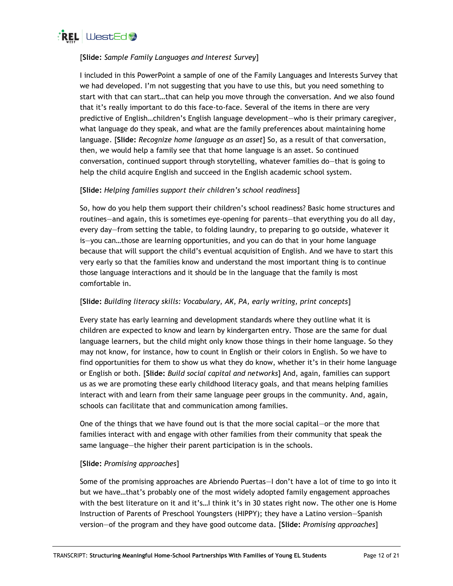

# [**Slide:** *Sample Family Languages and Interest Survey*]

I included in this PowerPoint a sample of one of the Family Languages and Interests Survey that we had developed. I'm not suggesting that you have to use this, but you need something to start with that can start…that can help you move through the conversation. And we also found that it's really important to do this face-to-face. Several of the items in there are very predictive of English…children's English language development—who is their primary caregiver, what language do they speak, and what are the family preferences about maintaining home language. [**Slide:** *Recognize home language as an asset*] So, as a result of that conversation, then, we would help a family see that that home language is an asset. So continued conversation, continued support through storytelling, whatever families do—that is going to help the child acquire English and succeed in the English academic school system.

# [**Slide:** *Helping families support their children's school readiness*]

So, how do you help them support their children's school readiness? Basic home structures and routines—and again, this is sometimes eye-opening for parents—that everything you do all day, every day—from setting the table, to folding laundry, to preparing to go outside, whatever it is—you can…those are learning opportunities, and you can do that in your home language because that will support the child's eventual acquisition of English. And we have to start this very early so that the families know and understand the most important thing is to continue those language interactions and it should be in the language that the family is most comfortable in.

# [**Slide:** *Building literacy skills: Vocabulary, AK, PA, early writing, print concepts*]

Every state has early learning and development standards where they outline what it is children are expected to know and learn by kindergarten entry. Those are the same for dual language learners, but the child might only know those things in their home language. So they may not know, for instance, how to count in English or their colors in English. So we have to find opportunities for them to show us what they do know, whether it's in their home language or English or both. [**Slide:** *Build social capital and networks*] And, again, families can support us as we are promoting these early childhood literacy goals, and that means helping families interact with and learn from their same language peer groups in the community. And, again, schools can facilitate that and communication among families.

One of the things that we have found out is that the more social capital—or the more that families interact with and engage with other families from their community that speak the same language—the higher their parent participation is in the schools.

# [**Slide:** *Promising approaches*]

Some of the promising approaches are Abriendo Puertas—I don't have a lot of time to go into it but we have…that's probably one of the most widely adopted family engagement approaches with the best literature on it and it's…I think it's in 30 states right now. The other one is Home Instruction of Parents of Preschool Youngsters (HIPPY); they have a Latino version—Spanish version—of the program and they have good outcome data. [**Slide:** *Promising approaches*]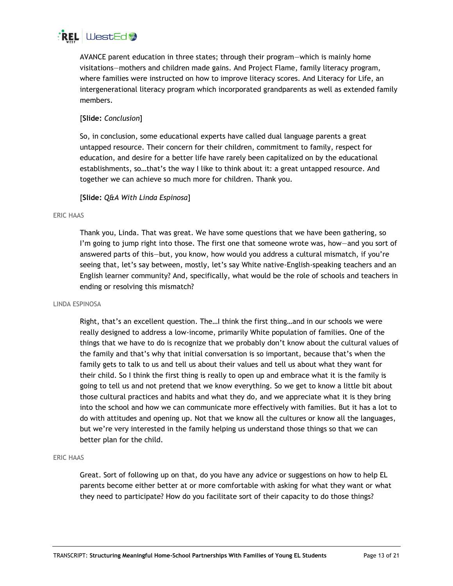# $\mathsf{R}\mathsf{EL}$  WestEd  $\mathsf{L}$

AVANCE parent education in three states; through their program—which is mainly home visitations—mothers and children made gains. And Project Flame, family literacy program, where families were instructed on how to improve literacy scores. And Literacy for Life, an intergenerational literacy program which incorporated grandparents as well as extended family members.

# [**Slide:** *Conclusion*]

So, in conclusion, some educational experts have called dual language parents a great untapped resource. Their concern for their children, commitment to family, respect for education, and desire for a better life have rarely been capitalized on by the educational establishments, so…that's the way I like to think about it: a great untapped resource. And together we can achieve so much more for children. Thank you.

# [**Slide:** *Q&A With Linda Espinosa*]

# ERIC HAAS

Thank you, Linda. That was great. We have some questions that we have been gathering, so I'm going to jump right into those. The first one that someone wrote was, how—and you sort of answered parts of this—but, you know, how would you address a cultural mismatch, if you're seeing that, let's say between, mostly, let's say White native-English-speaking teachers and an English learner community? And, specifically, what would be the role of schools and teachers in ending or resolving this mismatch?

# LINDA ESPINOSA

Right, that's an excellent question. The…I think the first thing…and in our schools we were really designed to address a low-income, primarily White population of families. One of the things that we have to do is recognize that we probably don't know about the cultural values of the family and that's why that initial conversation is so important, because that's when the family gets to talk to us and tell us about their values and tell us about what they want for their child. So I think the first thing is really to open up and embrace what it is the family is going to tell us and not pretend that we know everything. So we get to know a little bit about those cultural practices and habits and what they do, and we appreciate what it is they bring into the school and how we can communicate more effectively with families. But it has a lot to do with attitudes and opening up. Not that we know all the cultures or know all the languages, but we're very interested in the family helping us understand those things so that we can better plan for the child.

# ERIC HAAS

Great. Sort of following up on that, do you have any advice or suggestions on how to help EL parents become either better at or more comfortable with asking for what they want or what they need to participate? How do you facilitate sort of their capacity to do those things?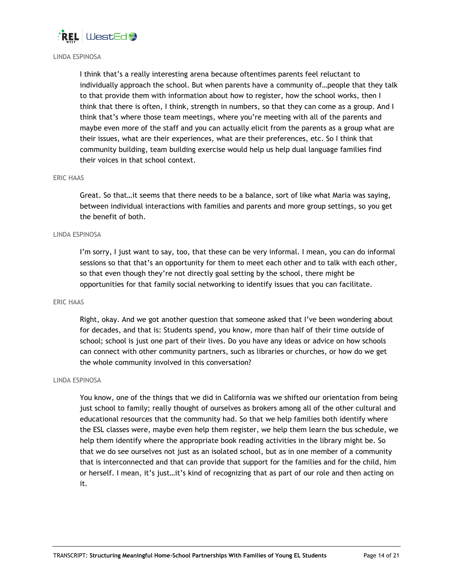

### LINDA ESPINOSA

I think that's a really interesting arena because oftentimes parents feel reluctant to individually approach the school. But when parents have a community of…people that they talk to that provide them with information about how to register, how the school works, then I think that there is often, I think, strength in numbers, so that they can come as a group. And I think that's where those team meetings, where you're meeting with all of the parents and maybe even more of the staff and you can actually elicit from the parents as a group what are their issues, what are their experiences, what are their preferences, etc. So I think that community building, team building exercise would help us help dual language families find their voices in that school context.

#### ERIC HAAS

Great. So that…it seems that there needs to be a balance, sort of like what Maria was saying, between individual interactions with families and parents and more group settings, so you get the benefit of both.

#### LINDA ESPINOSA

I'm sorry, I just want to say, too, that these can be very informal. I mean, you can do informal sessions so that that's an opportunity for them to meet each other and to talk with each other, so that even though they're not directly goal setting by the school, there might be opportunities for that family social networking to identify issues that you can facilitate.

#### ERIC HAAS

Right, okay. And we got another question that someone asked that I've been wondering about for decades, and that is: Students spend, you know, more than half of their time outside of school; school is just one part of their lives. Do you have any ideas or advice on how schools can connect with other community partners, such as libraries or churches, or how do we get the whole community involved in this conversation?

#### LINDA ESPINOSA

You know, one of the things that we did in California was we shifted our orientation from being just school to family; really thought of ourselves as brokers among all of the other cultural and educational resources that the community had. So that we help families both identify where the ESL classes were, maybe even help them register, we help them learn the bus schedule, we help them identify where the appropriate book reading activities in the library might be. So that we do see ourselves not just as an isolated school, but as in one member of a community that is interconnected and that can provide that support for the families and for the child, him or herself. I mean, it's just…it's kind of recognizing that as part of our role and then acting on it.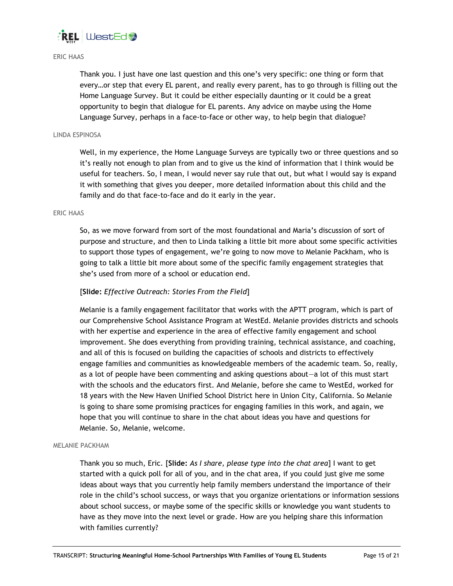

#### ERIC HAAS

Thank you. I just have one last question and this one's very specific: one thing or form that every…or step that every EL parent, and really every parent, has to go through is filling out the Home Language Survey. But it could be either especially daunting or it could be a great opportunity to begin that dialogue for EL parents. Any advice on maybe using the Home Language Survey, perhaps in a face-to-face or other way, to help begin that dialogue?

#### LINDA ESPINOSA

Well, in my experience, the Home Language Surveys are typically two or three questions and so it's really not enough to plan from and to give us the kind of information that I think would be useful for teachers. So, I mean, I would never say rule that out, but what I would say is expand it with something that gives you deeper, more detailed information about this child and the family and do that face-to-face and do it early in the year.

### ERIC HAAS

So, as we move forward from sort of the most foundational and Maria's discussion of sort of purpose and structure, and then to Linda talking a little bit more about some specific activities to support those types of engagement, we're going to now move to Melanie Packham, who is going to talk a little bit more about some of the specific family engagement strategies that she's used from more of a school or education end.

## [**Slide:** *Effective Outreach: Stories From the Field*]

Melanie is a family engagement facilitator that works with the APTT program, which is part of our Comprehensive School Assistance Program at WestEd. Melanie provides districts and schools with her expertise and experience in the area of effective family engagement and school improvement. She does everything from providing training, technical assistance, and coaching, and all of this is focused on building the capacities of schools and districts to effectively engage families and communities as knowledgeable members of the academic team. So, really, as a lot of people have been commenting and asking questions about—a lot of this must start with the schools and the educators first. And Melanie, before she came to WestEd, worked for 18 years with the New Haven Unified School District here in Union City, California. So Melanie is going to share some promising practices for engaging families in this work, and again, we hope that you will continue to share in the chat about ideas you have and questions for Melanie. So, Melanie, welcome.

#### MELANIE PACKHAM

Thank you so much, Eric. [**Slide:** *As I share, please type into the chat area*] I want to get started with a quick poll for all of you, and in the chat area, if you could just give me some ideas about ways that you currently help family members understand the importance of their role in the child's school success, or ways that you organize orientations or information sessions about school success, or maybe some of the specific skills or knowledge you want students to have as they move into the next level or grade. How are you helping share this information with families currently?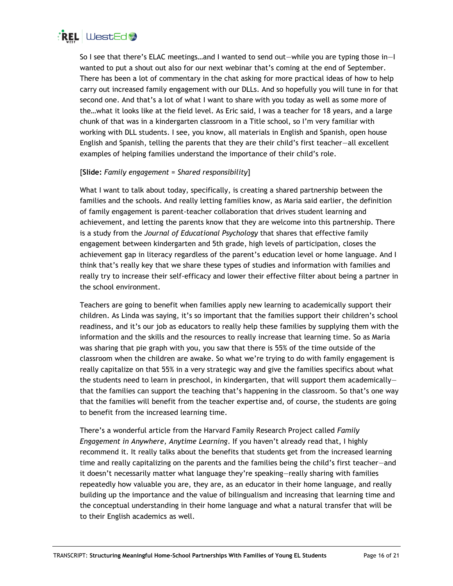

So I see that there's ELAC meetings…and I wanted to send out—while you are typing those in—I wanted to put a shout out also for our next webinar that's coming at the end of September. There has been a lot of commentary in the chat asking for more practical ideas of how to help carry out increased family engagement with our DLLs. And so hopefully you will tune in for that second one. And that's a lot of what I want to share with you today as well as some more of the…what it looks like at the field level. As Eric said, I was a teacher for 18 years, and a large chunk of that was in a kindergarten classroom in a Title school, so I'm very familiar with working with DLL students. I see, you know, all materials in English and Spanish, open house English and Spanish, telling the parents that they are their child's first teacher—all excellent examples of helping families understand the importance of their child's role.

# [**Slide:** *Family engagement = Shared responsibility*]

What I want to talk about today, specifically, is creating a shared partnership between the families and the schools. And really letting families know, as Maria said earlier, the definition of family engagement is parent-teacher collaboration that drives student learning and achievement, and letting the parents know that they are welcome into this partnership. There is a study from the *Journal of Educational Psychology* that shares that effective family engagement between kindergarten and 5th grade, high levels of participation, closes the achievement gap in literacy regardless of the parent's education level or home language. And I think that's really key that we share these types of studies and information with families and really try to increase their self-efficacy and lower their effective filter about being a partner in the school environment.

Teachers are going to benefit when families apply new learning to academically support their children. As Linda was saying, it's so important that the families support their children's school readiness, and it's our job as educators to really help these families by supplying them with the information and the skills and the resources to really increase that learning time. So as Maria was sharing that pie graph with you, you saw that there is 55% of the time outside of the classroom when the children are awake. So what we're trying to do with family engagement is really capitalize on that 55% in a very strategic way and give the families specifics about what the students need to learn in preschool, in kindergarten, that will support them academically that the families can support the teaching that's happening in the classroom. So that's one way that the families will benefit from the teacher expertise and, of course, the students are going to benefit from the increased learning time.

There's a wonderful article from the Harvard Family Research Project called *Family Engagement in Anywhere, Anytime Learning*. If you haven't already read that, I highly recommend it. It really talks about the benefits that students get from the increased learning time and really capitalizing on the parents and the families being the child's first teacher—and it doesn't necessarily matter what language they're speaking—really sharing with families repeatedly how valuable you are, they are, as an educator in their home language, and really building up the importance and the value of bilingualism and increasing that learning time and the conceptual understanding in their home language and what a natural transfer that will be to their English academics as well.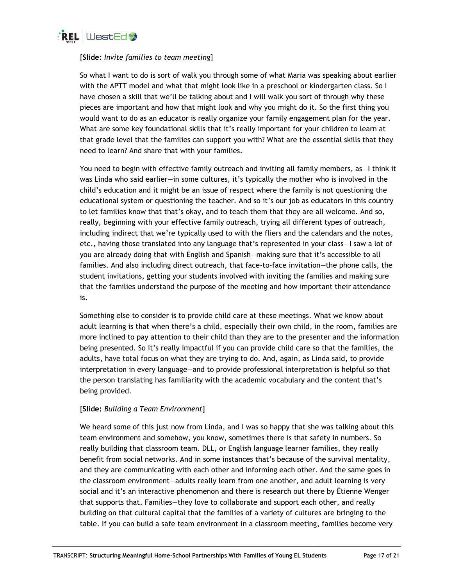

# [**Slide:** *Invite families to team meeting*]

So what I want to do is sort of walk you through some of what Maria was speaking about earlier with the APTT model and what that might look like in a preschool or kindergarten class. So I have chosen a skill that we'll be talking about and I will walk you sort of through why these pieces are important and how that might look and why you might do it. So the first thing you would want to do as an educator is really organize your family engagement plan for the year. What are some key foundational skills that it's really important for your children to learn at that grade level that the families can support you with? What are the essential skills that they need to learn? And share that with your families.

You need to begin with effective family outreach and inviting all family members, as—I think it was Linda who said earlier—in some cultures, it's typically the mother who is involved in the child's education and it might be an issue of respect where the family is not questioning the educational system or questioning the teacher. And so it's our job as educators in this country to let families know that that's okay, and to teach them that they are all welcome. And so, really, beginning with your effective family outreach, trying all different types of outreach, including indirect that we're typically used to with the fliers and the calendars and the notes, etc., having those translated into any language that's represented in your class—I saw a lot of you are already doing that with English and Spanish—making sure that it's accessible to all families. And also including direct outreach, that face-to-face invitation—the phone calls, the student invitations, getting your students involved with inviting the families and making sure that the families understand the purpose of the meeting and how important their attendance is.

Something else to consider is to provide child care at these meetings. What we know about adult learning is that when there's a child, especially their own child, in the room, families are more inclined to pay attention to their child than they are to the presenter and the information being presented. So it's really impactful if you can provide child care so that the families, the adults, have total focus on what they are trying to do. And, again, as Linda said, to provide interpretation in every language—and to provide professional interpretation is helpful so that the person translating has familiarity with the academic vocabulary and the content that's being provided.

# [**Slide:** *Building a Team Environment*]

We heard some of this just now from Linda, and I was so happy that she was talking about this team environment and somehow, you know, sometimes there is that safety in numbers. So really building that classroom team. DLL, or English language learner families, they really benefit from social networks. And in some instances that's because of the survival mentality, and they are communicating with each other and informing each other. And the same goes in the classroom environment—adults really learn from one another, and adult learning is very social and it's an interactive phenomenon and there is research out there by Étienne Wenger that supports that. Families—they love to collaborate and support each other, and really building on that cultural capital that the families of a variety of cultures are bringing to the table. If you can build a safe team environment in a classroom meeting, families become very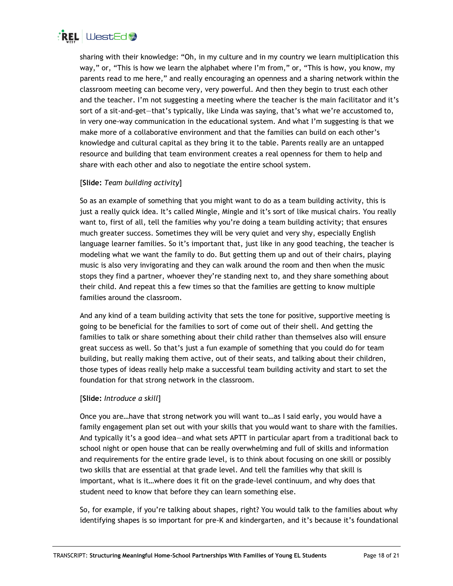

sharing with their knowledge: "Oh, in my culture and in my country we learn multiplication this way," or, "This is how we learn the alphabet where I'm from," or, "This is how, you know, my parents read to me here," and really encouraging an openness and a sharing network within the classroom meeting can become very, very powerful. And then they begin to trust each other and the teacher. I'm not suggesting a meeting where the teacher is the main facilitator and it's sort of a sit-and-get—that's typically, like Linda was saying, that's what we're accustomed to, in very one-way communication in the educational system. And what I'm suggesting is that we make more of a collaborative environment and that the families can build on each other's knowledge and cultural capital as they bring it to the table. Parents really are an untapped resource and building that team environment creates a real openness for them to help and share with each other and also to negotiate the entire school system.

# [**Slide:** *Team building activity*]

So as an example of something that you might want to do as a team building activity, this is just a really quick idea. It's called Mingle, Mingle and it's sort of like musical chairs. You really want to, first of all, tell the families why you're doing a team building activity; that ensures much greater success. Sometimes they will be very quiet and very shy, especially English language learner families. So it's important that, just like in any good teaching, the teacher is modeling what we want the family to do. But getting them up and out of their chairs, playing music is also very invigorating and they can walk around the room and then when the music stops they find a partner, whoever they're standing next to, and they share something about their child. And repeat this a few times so that the families are getting to know multiple families around the classroom.

And any kind of a team building activity that sets the tone for positive, supportive meeting is going to be beneficial for the families to sort of come out of their shell. And getting the families to talk or share something about their child rather than themselves also will ensure great success as well. So that's just a fun example of something that you could do for team building, but really making them active, out of their seats, and talking about their children, those types of ideas really help make a successful team building activity and start to set the foundation for that strong network in the classroom.

# [**Slide:** *Introduce a skill*]

Once you are…have that strong network you will want to…as I said early, you would have a family engagement plan set out with your skills that you would want to share with the families. And typically it's a good idea—and what sets APTT in particular apart from a traditional back to school night or open house that can be really overwhelming and full of skills and information and requirements for the entire grade level, is to think about focusing on one skill or possibly two skills that are essential at that grade level. And tell the families why that skill is important, what is it…where does it fit on the grade-level continuum, and why does that student need to know that before they can learn something else.

So, for example, if you're talking about shapes, right? You would talk to the families about why identifying shapes is so important for pre-K and kindergarten, and it's because it's foundational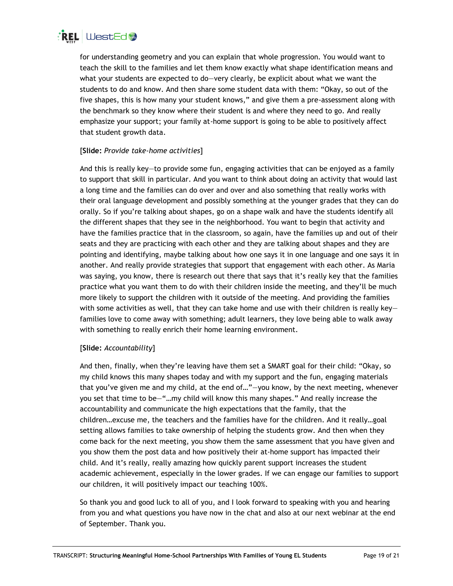

for understanding geometry and you can explain that whole progression. You would want to teach the skill to the families and let them know exactly what shape identification means and what your students are expected to do—very clearly, be explicit about what we want the students to do and know. And then share some student data with them: "Okay, so out of the five shapes, this is how many your student knows," and give them a pre-assessment along with the benchmark so they know where their student is and where they need to go. And really emphasize your support; your family at-home support is going to be able to positively affect that student growth data.

# [**Slide:** *Provide take-home activities*]

And this is really key—to provide some fun, engaging activities that can be enjoyed as a family to support that skill in particular. And you want to think about doing an activity that would last a long time and the families can do over and over and also something that really works with their oral language development and possibly something at the younger grades that they can do orally. So if you're talking about shapes, go on a shape walk and have the students identify all the different shapes that they see in the neighborhood. You want to begin that activity and have the families practice that in the classroom, so again, have the families up and out of their seats and they are practicing with each other and they are talking about shapes and they are pointing and identifying, maybe talking about how one says it in one language and one says it in another. And really provide strategies that support that engagement with each other. As Maria was saying, you know, there is research out there that says that it's really key that the families practice what you want them to do with their children inside the meeting, and they'll be much more likely to support the children with it outside of the meeting. And providing the families with some activities as well, that they can take home and use with their children is really keyfamilies love to come away with something; adult learners, they love being able to walk away with something to really enrich their home learning environment.

# [**Slide:** *Accountability*]

And then, finally, when they're leaving have them set a SMART goal for their child: "Okay, so my child knows this many shapes today and with my support and the fun, engaging materials that you've given me and my child, at the end of…"—you know, by the next meeting, whenever you set that time to be—"…my child will know this many shapes." And really increase the accountability and communicate the high expectations that the family, that the children…excuse me, the teachers and the families have for the children. And it really…goal setting allows families to take ownership of helping the students grow. And then when they come back for the next meeting, you show them the same assessment that you have given and you show them the post data and how positively their at-home support has impacted their child. And it's really, really amazing how quickly parent support increases the student academic achievement, especially in the lower grades. If we can engage our families to support our children, it will positively impact our teaching 100%.

So thank you and good luck to all of you, and I look forward to speaking with you and hearing from you and what questions you have now in the chat and also at our next webinar at the end of September. Thank you.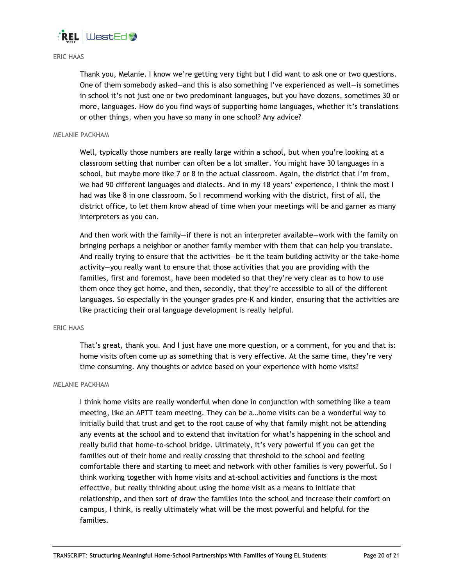

## ERIC HAAS

Thank you, Melanie. I know we're getting very tight but I did want to ask one or two questions. One of them somebody asked—and this is also something I've experienced as well—is sometimes in school it's not just one or two predominant languages, but you have dozens, sometimes 30 or more, languages. How do you find ways of supporting home languages, whether it's translations or other things, when you have so many in one school? Any advice?

#### MELANIE PACKHAM

Well, typically those numbers are really large within a school, but when you're looking at a classroom setting that number can often be a lot smaller. You might have 30 languages in a school, but maybe more like 7 or 8 in the actual classroom. Again, the district that I'm from, we had 90 different languages and dialects. And in my 18 years' experience, I think the most I had was like 8 in one classroom. So I recommend working with the district, first of all, the district office, to let them know ahead of time when your meetings will be and garner as many interpreters as you can.

And then work with the family—if there is not an interpreter available—work with the family on bringing perhaps a neighbor or another family member with them that can help you translate. And really trying to ensure that the activities—be it the team building activity or the take-home activity—you really want to ensure that those activities that you are providing with the families, first and foremost, have been modeled so that they're very clear as to how to use them once they get home, and then, secondly, that they're accessible to all of the different languages. So especially in the younger grades pre-K and kinder, ensuring that the activities are like practicing their oral language development is really helpful.

#### ERIC HAAS

That's great, thank you. And I just have one more question, or a comment, for you and that is: home visits often come up as something that is very effective. At the same time, they're very time consuming. Any thoughts or advice based on your experience with home visits?

#### MELANIE PACKHAM

I think home visits are really wonderful when done in conjunction with something like a team meeting, like an APTT team meeting. They can be a…home visits can be a wonderful way to initially build that trust and get to the root cause of why that family might not be attending any events at the school and to extend that invitation for what's happening in the school and really build that home-to-school bridge. Ultimately, it's very powerful if you can get the families out of their home and really crossing that threshold to the school and feeling comfortable there and starting to meet and network with other families is very powerful. So I think working together with home visits and at-school activities and functions is the most effective, but really thinking about using the home visit as a means to initiate that relationship, and then sort of draw the families into the school and increase their comfort on campus, I think, is really ultimately what will be the most powerful and helpful for the families.